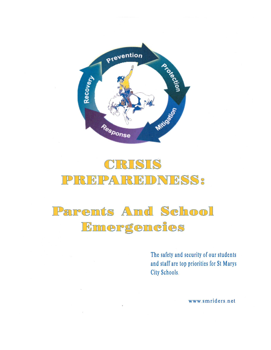

### CRISIS REPAI REDNESS:  $\mathbb{P}$

# Parents And School Emergencies

The safety and security of our students and staff are top priorities for St Marys City Schools.

www.smriders.net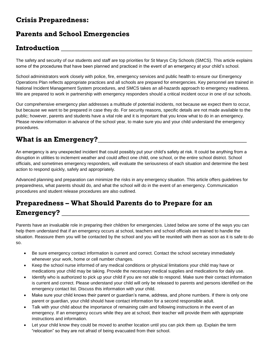### **Crisis Preparedness:**

# **Parents and School Emergencies**

# **Introduction \_\_\_\_\_\_\_\_\_\_\_\_\_\_\_\_\_\_\_\_\_\_\_\_\_\_\_\_\_\_\_\_\_\_\_\_\_\_\_\_\_\_\_\_\_\_\_\_\_\_\_\_\_\_**

The safety and security of our students and staff are top priorities for St Marys City Schools (SMCS). This article explains some of the procedures that have been planned and practiced in the event of an emergency at your child's school.

School administrators work closely with police, fire, emergency services and public health to ensure our Emergency Operations Plan reflects appropriate practices and all schools are prepared for emergencies. Key personnel are trained in National Incident Management System procedures, and SMCS takes an all-hazards approach to emergency readiness. We are prepared to work in partnership with emergency responders should a critical incident occur in one of our schools.

Our comprehensive emergency plan addresses a multitude of potential incidents, not because we expect them to occur, but because we want to be prepared in case they do. For security reasons, specific details are not made available to the public; however, parents and students have a vital role and it is important that you know what to do in an emergency. Please review information in advance of the school year, to make sure you and your child understand the emergency procedures.

# **What is an Emergency?\_\_\_\_\_\_\_\_\_\_\_\_\_\_\_\_\_\_\_\_\_\_\_\_\_\_\_\_\_\_\_\_\_\_\_\_\_\_\_\_\_\_**

An emergency is any unexpected incident that could possibly put your child's safety at risk. It could be anything from a disruption in utilities to inclement weather and could affect one child, one school, or the entire school district. School officials, and sometimes emergency responders, will evaluate the seriousness of each situation and determine the best action to respond quickly, safely and appropriately.

Advanced planning and preparation can minimize the risks in any emergency situation. This article offers guidelines for preparedness, what parents should do, and what the school will do in the event of an emergency. Communication procedures and student release procedures are also outlined.

# **Preparedness – What Should Parents do to Prepare for an Emergency? \_\_\_\_\_\_\_\_\_\_\_\_\_\_\_\_\_\_\_\_\_\_\_\_\_\_\_\_\_\_\_\_\_\_\_\_\_\_\_\_\_\_\_\_\_\_\_\_\_\_\_\_\_**

Parents have an invaluable role in preparing their children for emergencies. Listed below are some of the ways you can help them understand that if an emergency occurs at school, teachers and school officials are trained to handle the situation. Reassure them you will be contacted by the school and you will be reunited with them as soon as it is safe to do so.

- Be sure emergency contact information is current and correct. Contact the school secretary immediately whenever your work, home or cell number changes.
- Keep the school nurse informed of any medical conditions or physical limitations your child may have or medications your child may be taking. Provide the necessary medical supplies and medications for daily use.
- Identify who is authorized to pick up your child if you are not able to respond. Make sure their contact information is current and correct. Please understand your child will only be released to parents and persons identified on the emergency contact list. Discuss this information with your child.
- Make sure your child knows their parent or guardian's name, address, and phone numbers. If there is only one parent or guardian, your child should have contact information for a second responsible adult.
- Talk with your child about the importance of remaining calm and following instructions in the event of an emergency. If an emergency occurs while they are at school, their teacher will provide them with appropriate instructions and information.
- Let your child know they could be moved to another location until you can pick them up. Explain the term "relocation" so they are not afraid of being evacuated from their school.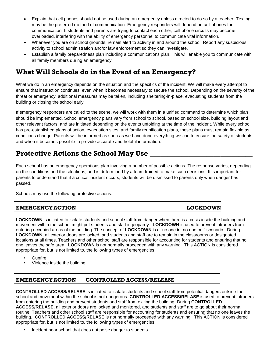- Explain that cell phones should not be used during an emergency unless directed to do so by a teacher. Texting may be the preferred method of communication. Emergency responders will depend on cell phones for communication. If students and parents are trying to contact each other, cell phone circuits may become overloaded, interfering with the ability of emergency personnel to communicate vital information.
- Whenever you are on school grounds, remain alert to activity in and around the school. Report any suspicious activity to school administration and/or law enforcement so they can investigate.
- Establish a family preparedness plan including a communications plan. This will enable you to communicate with all family members during an emergency.

### **What Will Schools do in the Event of an Emergency?\_\_\_\_\_\_\_\_\_\_\_\_\_\_\_\_**

What we do in an emergency depends on the situation and the specifics of the incident. We will make every attempt to ensure that instruction continues, even when it becomes necessary to secure the school. Depending on the severity of the threat or emergency, additional measures may be taken, including sheltering-in-place, evacuating students from the building or closing the school early.

If emergency responders are called to the scene, we will work with them in a unified command to determine which plan should be implemented. School emergency plans vary from school to school, based on school size, building layout and other relevant factors, and are initiated depending on the events unfolding at the time of the incident. While every school has pre-established plans of action, evacuation sites, and family reunification plans, these plans must remain flexible as conditions change. Parents will be informed as soon as we have done everything we can to ensure the safety of students and when it becomes possible to provide accurate and helpful information.

### **Protective Actions the School May Use \_\_\_\_\_\_\_\_\_\_\_\_\_\_\_\_\_\_\_\_\_\_\_\_\_\_\_\_\_**

Each school has an emergency operations plan involving a number of possible actions. The response varies, depending on the conditions and the situations, and is determined by a team trained to make such decisions. It is important for parents to understand that if a critical incident occurs, students will be dismissed to parents only when danger has passed.

Schools may use the following protective actions:

### **EMERGENCY ACTION LOCKDOWN**

**LOCKDOWN** is initiated to isolate students and school staff from danger when there is a crisis inside the building and movement within the school might put students and staff in jeopardy. **LOCKDOWN** is used to prevent intruders from entering occupied areas of the building. The concept of **LOCKDOWN** is a "no one in, no one out" scenario.During **LOCKDOWN**, all exterior doors are locked, and students and staff are to remain in the classrooms or designated locations at all times. Teachers and other school staff are responsible for accounting for students and ensuring that no one leaves the safe area. **LOCKDOWN** is not normally proceeded with any warning. This ACTION is considered appropriate for, but is not limited to, the following types of emergencies:

- **Gunfire**
- Violence inside the building

### **EMERGENCY ACTION CONTROLLED ACCESS/RELEASE**

**CONTROLLED ACCESS/RELASE** is initiated to isolate students and school staff from potential dangers outside the school and movement within the school is not dangerous. **CONTROLLED ACCESS/RELASE** is used to prevent intruders from entering the building and prevent students and staff from exiting the building. During **CONTROLLED ACCESS/RELASE**, all exterior doors are locked and monitored, and students and staff are to go about their normal routine. Teachers and other school staff are responsible for accounting for students and ensuring that no one leaves the building. **CONTROLLED ACCESS/RELASE** is not normally proceeded with any warning. This ACTION is considered appropriate for, but is not limited to, the following types of emergencies:

• Incident near school that does not poise danger to students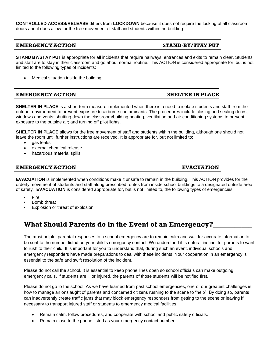**CONTROLLED ACCESS/RELEASE** differs from **LOCKDOWN** because it does not require the locking of all classroom doors and it does allow for the free movement of staff and students within the building.

### **EMERGENCY ACTION STAND-BY/STAY PUT**

**STAND BY/STAY PUT** is appropriate for all incidents that require hallways, entrances and exits to remain clear. Students and staff are to stay in their classroom and go about normal routine. This ACTION is considered appropriate for, but is not limited to the following types of incidents:

Medical situation inside the building.

**EMERGENCY ACTION SHELTER IN PLACE**

**SHELTER IN PLACE** is a short-term measure implemented when there is a need to isolate students and staff from the outdoor environment to prevent exposure to airborne contaminants. The procedures include closing and sealing doors, windows and vents; shutting down the classroom/building heating, ventilation and air conditioning systems to prevent exposure to the outside air; and turning off pilot lights.

**SHELTER IN PLACE** allows for the free movement of staff and students within the building, although one should not leave the room until further instructions are received. It is appropriate for, but not limited to:

- gas leaks
- external chemical release
- hazardous material spills.

### **EMERGENCY ACTION EVACUATION**

**EVACUATION** is implemented when conditions make it unsafe to remain in the building. This ACTION provides for the orderly movement of students and staff along prescribed routes from inside school buildings to a designated outside area of safety. **EVACUATION** is considered appropriate for, but is not limited to, the following types of emergencies:

- **Fire**
- Bomb threat
- Explosion or threat of explosion

### **What Should Parents do in the Event of an Emergency?\_\_\_\_\_\_\_\_\_\_\_**

The most helpful parental responses to a school emergency are to remain calm and wait for accurate information to be sent to the number listed on your child's emergency contact. We understand it is natural instinct for parents to want to rush to their child. It is important for you to understand that, during such an event, individual schools and emergency responders have made preparations to deal with these incidents. Your cooperation in an emergency is essential to the safe and swift resolution of the incident.

Please do not call the school. It is essential to keep phone lines open so school officials can make outgoing emergency calls. If students are ill or injured, the parents of those students will be notified first.

Please do not go to the school. As we have learned from past school emergencies, one of our greatest challenges is how to manage an onslaught of parents and concerned citizens rushing to the scene to "help". By doing so, parents can inadvertently create traffic jams that may block emergency responders from getting to the scene or leaving if necessary to transport injured staff or students to emergency medical facilities.

- Remain calm, follow procedures, and cooperate with school and public safety officials.
- Remain close to the phone listed as your emergency contact number.